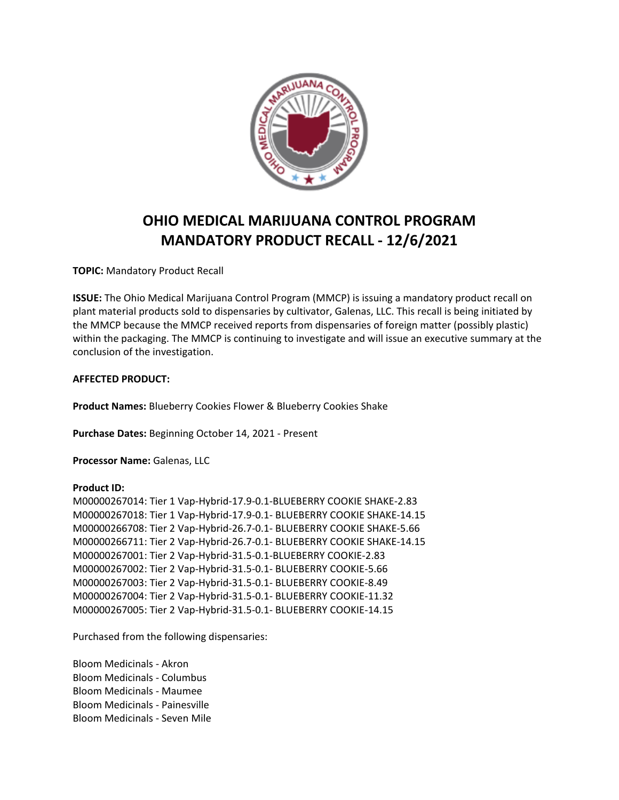

## **OHIO MEDICAL MARIJUANA CONTROL PROGRAM MANDATORY PRODUCT RECALL - 12/6/2021**

**TOPIC:** Mandatory Product Recall

**ISSUE:** The Ohio Medical Marijuana Control Program (MMCP) is issuing a mandatory product recall on plant material products sold to dispensaries by cultivator, Galenas, LLC. This recall is being initiated by the MMCP because the MMCP received reports from dispensaries of foreign matter (possibly plastic) within the packaging. The MMCP is continuing to investigate and will issue an executive summary at the conclusion of the investigation.

## **AFFECTED PRODUCT:**

**Product Names:** Blueberry Cookies Flower & Blueberry Cookies Shake

**Purchase Dates:** Beginning October 14, 2021 - Present

**Processor Name:** Galenas, LLC

## **Product ID:**

M00000267014: Tier 1 Vap-Hybrid-17.9-0.1-BLUEBERRY COOKIE SHAKE-2.83 M00000267018: Tier 1 Vap-Hybrid-17.9-0.1- BLUEBERRY COOKIE SHAKE-14.15 M00000266708: Tier 2 Vap-Hybrid-26.7-0.1- BLUEBERRY COOKIE SHAKE-5.66 M00000266711: Tier 2 Vap-Hybrid-26.7-0.1- BLUEBERRY COOKIE SHAKE-14.15 M00000267001: Tier 2 Vap-Hybrid-31.5-0.1-BLUEBERRY COOKIE-2.83 M00000267002: Tier 2 Vap-Hybrid-31.5-0.1- BLUEBERRY COOKIE-5.66 M00000267003: Tier 2 Vap-Hybrid-31.5-0.1- BLUEBERRY COOKIE-8.49 M00000267004: Tier 2 Vap-Hybrid-31.5-0.1- BLUEBERRY COOKIE-11.32 M00000267005: Tier 2 Vap-Hybrid-31.5-0.1- BLUEBERRY COOKIE-14.15

Purchased from the following dispensaries:

Bloom Medicinals - Akron Bloom Medicinals - Columbus Bloom Medicinals - Maumee Bloom Medicinals - Painesville Bloom Medicinals - Seven Mile